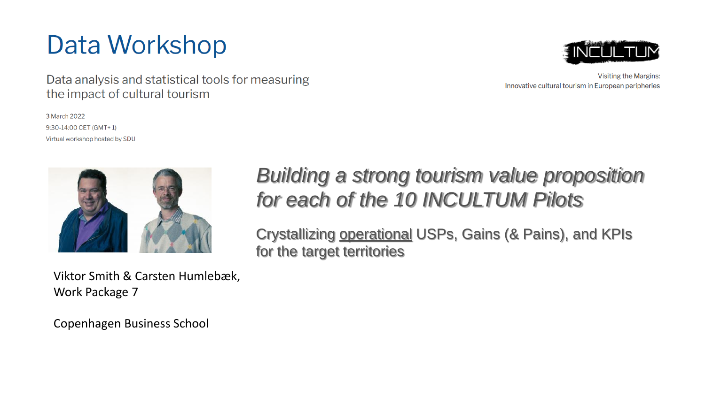# Data Workshop

Data analysis and statistical tools for measuring the impact of cultural tourism

3 March 2022 9:30-14:00 CET (GMT+1) Virtual workshop hosted by SDU



*Building a strong tourism value proposition for each of the 10 INCULTUM Pilots*

Crystallizing operational USPs, Gains (& Pains), and KPIs for the target territories

Viktor Smith & Carsten Humlebæk, Work Package 7

Copenhagen Business School



**Visiting the Margins:** Innovative cultural tourism in European peripheries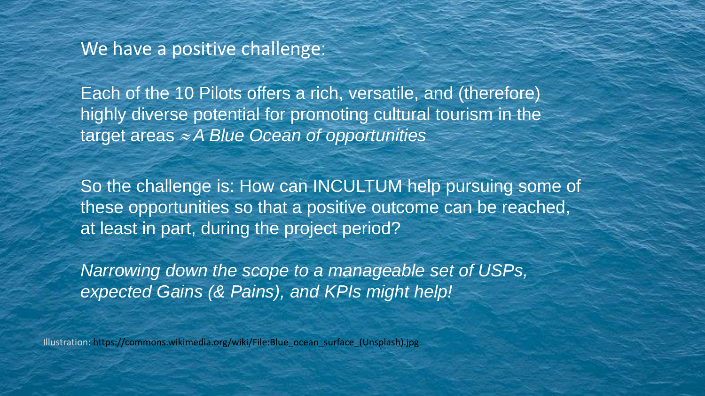#### We have a positive challenge:

Each of the 10 Pilots offers a rich, versatile, and (therefore) highly diverse potential for promoting cultural tourism in the target areas  $\approx$  A Blue Ocean of opportunities

So the challenge is: How can INCULTUM help pursuing some of these opportunities so that a positive outcome can be reached, at least in part, during the project period?

*Narrowing down the scope to a manageable set of USPs, expected Gains (& Pains), and KPIs might help!*

Illustration: https://commons.wikimedia.org/wiki/File:Blue\_ocean\_surface\_(Unsplash).jpg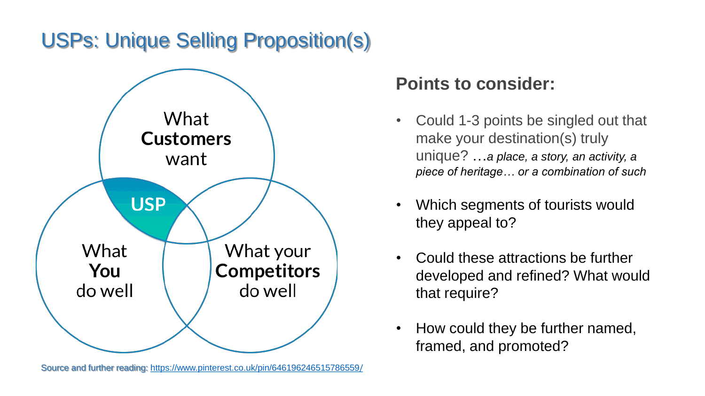# USPs: Unique Selling Proposition(s)



Source and further reading: [https://www.pinterest.co.uk/pin/646196246515786559](https://www.pinterest.co.uk/pin/646196246515786559/)/

#### **Points to consider:**

- Could 1-3 points be singled out that make your destination(s) truly unique? …*a place, a story, an activity, a piece of heritage… or a combination of such*
- Which segments of tourists would they appeal to?
- Could these attractions be further developed and refined? What would that require?
- How could they be further named, framed, and promoted?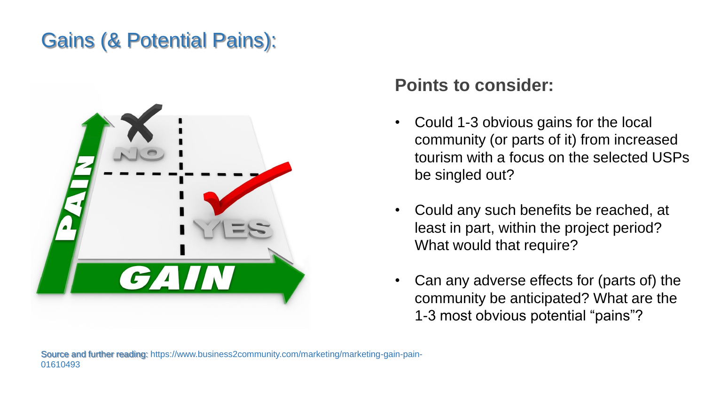### Gains (& Potential Pains):



#### **Points to consider:**

- Could 1-3 obvious gains for the local community (or parts of it) from increased tourism with a focus on the selected USPs be singled out?
- Could any such benefits be reached, at least in part, within the project period? What would that require?
- Can any adverse effects for (parts of) the community be anticipated? What are the 1-3 most obvious potential "pains"?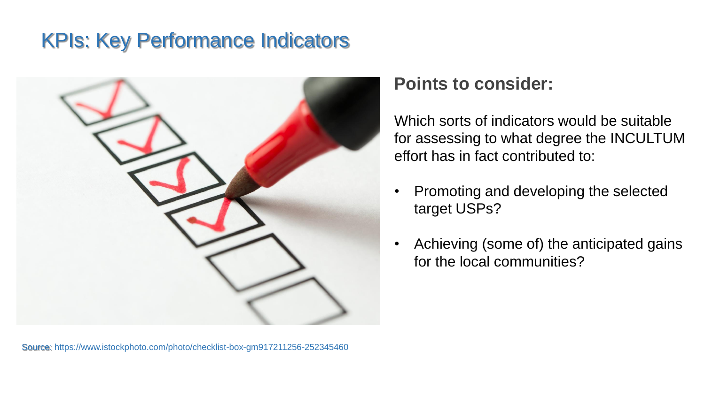# KPIs: Key Performance Indicators



#### **Points to consider:**

Which sorts of indicators would be suitable for assessing to what degree the INCULTUM effort has in fact contributed to:

- Promoting and developing the selected target USPs?
- Achieving (some of) the anticipated gains for the local communities?